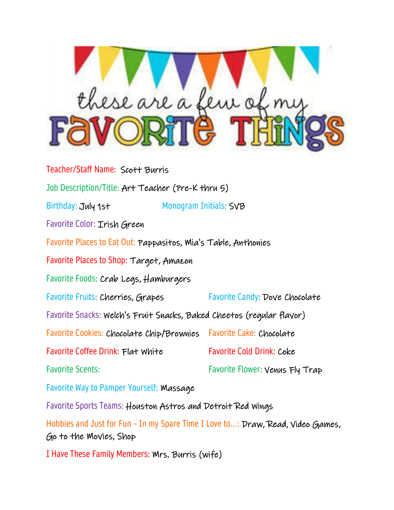

Teacher/Staff Name: Scott Burris Job Description/Title: Art Teacher (Pre-K thru 5) Birthday: July 1st Monogram Initials: SVB Favorite Color: Irish Green Favorite Places to Eat Out: Pappasitos, Mia's Table, Anthonies Favorite Places to Shop: Target, Amazon Favorite Foods: Crab Legs, Hamburgers Favorite Fruits: Cherries, Grapes Favorite Candy: Dove Chocolate Favorite Snacks: Welch's Fruit Snacks, Baked Cheetos (regular flavor) Favorite Cookies: Chocolate Chip/Brownies Favorite Cake: Chocolate Favorite Coffee Drink: Flat White Favorite Cold Drink: Coke Favorite Scents: Favorite Flower: Venus Fly Trap Favorite Way to Pamper Yourself: Massage Favorite Sports Teams: Houston Astros and Detroit Red Wings Hobbies and Just for Fun - In my Spare Time I Love to...: Draw, Read, Video Games, Go to the Movies, Shop

I Have These Family Members: Mrs. Burris (wife)